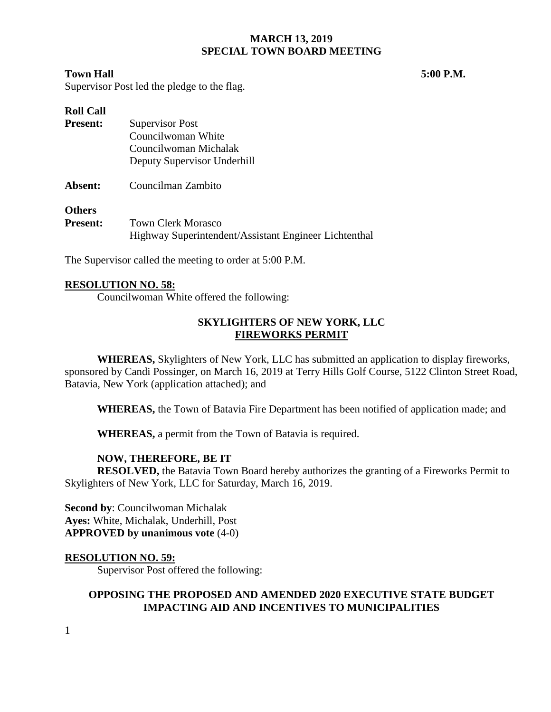## **MARCH 13, 2019 SPECIAL TOWN BOARD MEETING**

## **Town Hall 5:00 P.M.**

Supervisor Post led the pledge to the flag.

| <b>Roll Call</b> |                                                       |
|------------------|-------------------------------------------------------|
| <b>Present:</b>  | Supervisor Post                                       |
|                  | Councilwoman White                                    |
|                  | Councilwoman Michalak                                 |
|                  | Deputy Supervisor Underhill                           |
| Absent:          | Councilman Zambito                                    |
| <b>Others</b>    |                                                       |
| <b>Present:</b>  | <b>Town Clerk Morasco</b>                             |
|                  | Highway Superintendent/Assistant Engineer Lichtenthal |

The Supervisor called the meeting to order at 5:00 P.M.

#### **RESOLUTION NO. 58:**

Councilwoman White offered the following:

# **SKYLIGHTERS OF NEW YORK, LLC FIREWORKS PERMIT**

**WHEREAS,** Skylighters of New York, LLC has submitted an application to display fireworks, sponsored by Candi Possinger, on March 16, 2019 at Terry Hills Golf Course, 5122 Clinton Street Road, Batavia, New York (application attached); and

**WHEREAS,** the Town of Batavia Fire Department has been notified of application made; and

**WHEREAS,** a permit from the Town of Batavia is required.

## **NOW, THEREFORE, BE IT**

**RESOLVED,** the Batavia Town Board hereby authorizes the granting of a Fireworks Permit to Skylighters of New York, LLC for Saturday, March 16, 2019.

**Second by**: Councilwoman Michalak **Ayes:** White, Michalak, Underhill, Post **APPROVED by unanimous vote** (4-0)

#### **RESOLUTION NO. 59:**

Supervisor Post offered the following:

# **OPPOSING THE PROPOSED AND AMENDED 2020 EXECUTIVE STATE BUDGET IMPACTING AID AND INCENTIVES TO MUNICIPALITIES**

1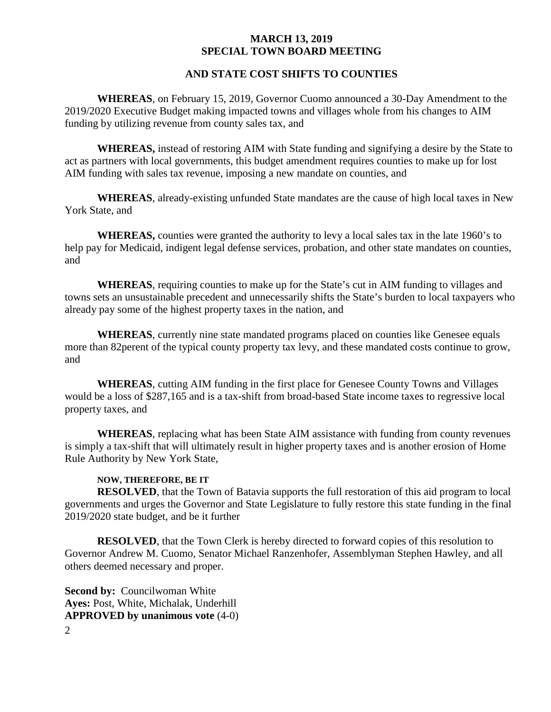### **MARCH 13, 2019 SPECIAL TOWN BOARD MEETING**

#### **AND STATE COST SHIFTS TO COUNTIES**

**WHEREAS**, on February 15, 2019, Governor Cuomo announced a 30-Day Amendment to the 2019/2020 Executive Budget making impacted towns and villages whole from his changes to AIM funding by utilizing revenue from county sales tax, and

**WHEREAS,** instead of restoring AIM with State funding and signifying a desire by the State to act as partners with local governments, this budget amendment requires counties to make up for lost AIM funding with sales tax revenue, imposing a new mandate on counties, and

**WHEREAS**, already-existing unfunded State mandates are the cause of high local taxes in New York State, and

**WHEREAS,** counties were granted the authority to levy a local sales tax in the late 1960's to help pay for Medicaid, indigent legal defense services, probation, and other state mandates on counties, and

**WHEREAS**, requiring counties to make up for the State's cut in AIM funding to villages and towns sets an unsustainable precedent and unnecessarily shifts the State's burden to local taxpayers who already pay some of the highest property taxes in the nation, and

**WHEREAS**, currently nine state mandated programs placed on counties like Genesee equals more than 82perent of the typical county property tax levy, and these mandated costs continue to grow, and

**WHEREAS**, cutting AIM funding in the first place for Genesee County Towns and Villages would be a loss of \$287,165 and is a tax-shift from broad-based State income taxes to regressive local property taxes, and

**WHEREAS**, replacing what has been State AIM assistance with funding from county revenues is simply a tax-shift that will ultimately result in higher property taxes and is another erosion of Home Rule Authority by New York State,

#### **NOW, THEREFORE, BE IT**

**RESOLVED**, that the Town of Batavia supports the full restoration of this aid program to local governments and urges the Governor and State Legislature to fully restore this state funding in the final 2019/2020 state budget, and be it further

**RESOLVED**, that the Town Clerk is hereby directed to forward copies of this resolution to Governor Andrew M. Cuomo, Senator Michael Ranzenhofer, Assemblyman Stephen Hawley, and all others deemed necessary and proper.

2 **Second by: Councilwoman White Ayes:** Post, White, Michalak, Underhill **APPROVED by unanimous vote** (4-0)